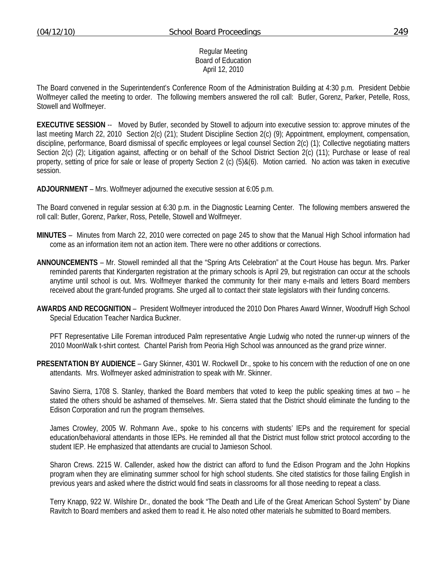#### Regular Meeting Board of Education April 12, 2010

The Board convened in the Superintendent's Conference Room of the Administration Building at 4:30 p.m. President Debbie Wolfmeyer called the meeting to order. The following members answered the roll call: Butler, Gorenz, Parker, Petelle, Ross, Stowell and Wolfmeyer.

**EXECUTIVE SESSION** -- Moved by Butler, seconded by Stowell to adjourn into executive session to: approve minutes of the last meeting March 22, 2010 Section 2(c) (21); Student Discipline Section 2(c) (9); Appointment, employment, compensation, discipline, performance, Board dismissal of specific employees or legal counsel Section 2(c) (1); Collective negotiating matters Section 2(c) (2); Litigation against, affecting or on behalf of the School District Section 2(c) (11); Purchase or lease of real property, setting of price for sale or lease of property Section 2 (c) (5)&(6). Motion carried. No action was taken in executive session.

**ADJOURNMENT** – Mrs. Wolfmeyer adjourned the executive session at 6:05 p.m.

The Board convened in regular session at 6:30 p.m. in the Diagnostic Learning Center. The following members answered the roll call: Butler, Gorenz, Parker, Ross, Petelle, Stowell and Wolfmeyer.

- **MINUTES** Minutes from March 22, 2010 were corrected on page 245 to show that the Manual High School information had come as an information item not an action item. There were no other additions or corrections.
- **ANNOUNCEMENTS** Mr. Stowell reminded all that the "Spring Arts Celebration" at the Court House has begun. Mrs. Parker reminded parents that Kindergarten registration at the primary schools is April 29, but registration can occur at the schools anytime until school is out. Mrs. Wolfmeyer thanked the community for their many e-mails and letters Board members received about the grant-funded programs. She urged all to contact their state legislators with their funding concerns.
- **AWARDS AND RECOGNITION** President Wolfmeyer introduced the 2010 Don Phares Award Winner, Woodruff High School Special Education Teacher Nardica Buckner.

 PFT Representative Lille Foreman introduced Palm representative Angie Ludwig who noted the runner-up winners of the 2010 MoonWalk t-shirt contest. Chantel Parish from Peoria High School was announced as the grand prize winner.

**PRESENTATION BY AUDIENCE** – Gary Skinner, 4301 W. Rockwell Dr., spoke to his concern with the reduction of one on one attendants. Mrs. Wolfmeyer asked administration to speak with Mr. Skinner.

 Savino Sierra, 1708 S. Stanley, thanked the Board members that voted to keep the public speaking times at two – he stated the others should be ashamed of themselves. Mr. Sierra stated that the District should eliminate the funding to the Edison Corporation and run the program themselves.

 James Crowley, 2005 W. Rohmann Ave., spoke to his concerns with students' IEPs and the requirement for special education/behavioral attendants in those IEPs. He reminded all that the District must follow strict protocol according to the student IEP. He emphasized that attendants are crucial to Jamieson School.

 Sharon Crews. 2215 W. Callender, asked how the district can afford to fund the Edison Program and the John Hopkins program when they are eliminating summer school for high school students. She cited statistics for those failing English in previous years and asked where the district would find seats in classrooms for all those needing to repeat a class.

 Terry Knapp, 922 W. Wilshire Dr., donated the book "The Death and Life of the Great American School System" by Diane Ravitch to Board members and asked them to read it. He also noted other materials he submitted to Board members.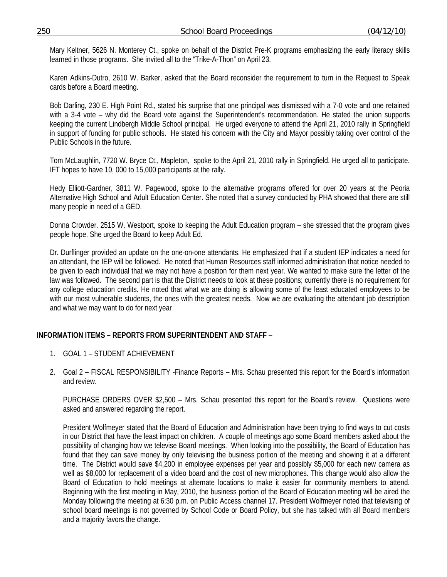Mary Keltner, 5626 N. Monterey Ct., spoke on behalf of the District Pre-K programs emphasizing the early literacy skills learned in those programs. She invited all to the "Trike-A-Thon" on April 23.

 Karen Adkins-Dutro, 2610 W. Barker, asked that the Board reconsider the requirement to turn in the Request to Speak cards before a Board meeting.

 Bob Darling, 230 E. High Point Rd., stated his surprise that one principal was dismissed with a 7-0 vote and one retained with a 3-4 vote – why did the Board vote against the Superintendent's recommendation. He stated the union supports keeping the current Lindbergh Middle School principal. He urged everyone to attend the April 21, 2010 rally in Springfield in support of funding for public schools. He stated his concern with the City and Mayor possibly taking over control of the Public Schools in the future.

 Tom McLaughlin, 7720 W. Bryce Ct., Mapleton, spoke to the April 21, 2010 rally in Springfield. He urged all to participate. IFT hopes to have 10, 000 to 15,000 participants at the rally.

Hedy Elliott-Gardner, 3811 W. Pagewood, spoke to the alternative programs offered for over 20 years at the Peoria Alternative High School and Adult Education Center. She noted that a survey conducted by PHA showed that there are still many people in need of a GED.

Donna Crowder. 2515 W. Westport, spoke to keeping the Adult Education program – she stressed that the program gives people hope. She urged the Board to keep Adult Ed.

Dr. Durflinger provided an update on the one-on-one attendants. He emphasized that if a student IEP indicates a need for an attendant, the IEP will be followed. He noted that Human Resources staff informed administration that notice needed to be given to each individual that we may not have a position for them next year. We wanted to make sure the letter of the law was followed. The second part is that the District needs to look at these positions; currently there is no requirement for any college education credits. He noted that what we are doing is allowing some of the least educated employees to be with our most vulnerable students, the ones with the greatest needs. Now we are evaluating the attendant job description and what we may want to do for next year

## **INFORMATION ITEMS – REPORTS FROM SUPERINTENDENT AND STAFF** –

- 1. GOAL 1 STUDENT ACHIEVEMENT
- 2. Goal 2 FISCAL RESPONSIBILITY -Finance Reports Mrs. Schau presented this report for the Board's information and review.

 PURCHASE ORDERS OVER \$2,500 – Mrs. Schau presented this report for the Board's review. Questions were asked and answered regarding the report.

President Wolfmeyer stated that the Board of Education and Administration have been trying to find ways to cut costs in our District that have the least impact on children. A couple of meetings ago some Board members asked about the possibility of changing how we televise Board meetings. When looking into the possibility, the Board of Education has found that they can save money by only televising the business portion of the meeting and showing it at a different time. The District would save \$4,200 in employee expenses per year and possibly \$5,000 for each new camera as well as \$8,000 for replacement of a video board and the cost of new microphones. This change would also allow the Board of Education to hold meetings at alternate locations to make it easier for community members to attend. Beginning with the first meeting in May, 2010, the business portion of the Board of Education meeting will be aired the Monday following the meeting at 6:30 p.m. on Public Access channel 17. President Wolfmeyer noted that televising of school board meetings is not governed by School Code or Board Policy, but she has talked with all Board members and a majority favors the change.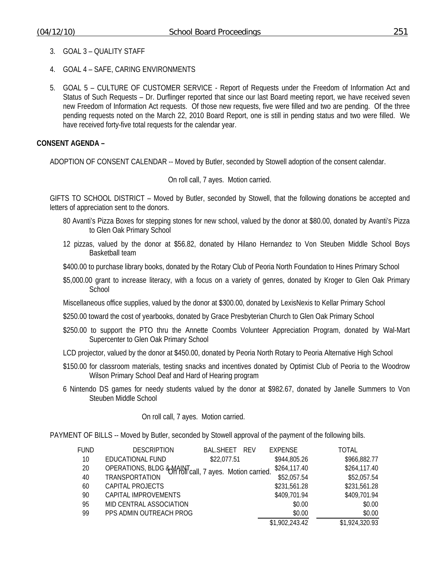- 3. GOAL 3 QUALITY STAFF
- 4. GOAL 4 SAFE, CARING ENVIRONMENTS
- 5. GOAL 5 CULTURE OF CUSTOMER SERVICE Report of Requests under the Freedom of Information Act and Status of Such Requests – Dr. Durflinger reported that since our last Board meeting report, we have received seven new Freedom of Information Act requests. Of those new requests, five were filled and two are pending. Of the three pending requests noted on the March 22, 2010 Board Report, one is still in pending status and two were filled. We have received forty-five total requests for the calendar year.

#### **CONSENT AGENDA –**

ADOPTION OF CONSENT CALENDAR -- Moved by Butler, seconded by Stowell adoption of the consent calendar.

On roll call, 7 ayes. Motion carried.

GIFTS TO SCHOOL DISTRICT – Moved by Butler, seconded by Stowell, that the following donations be accepted and letters of appreciation sent to the donors.

- 80 Avanti's Pizza Boxes for stepping stones for new school, valued by the donor at \$80.00, donated by Avanti's Pizza to Glen Oak Primary School
- 12 pizzas, valued by the donor at \$56.82, donated by Hilano Hernandez to Von Steuben Middle School Boys Basketball team
- \$400.00 to purchase library books, donated by the Rotary Club of Peoria North Foundation to Hines Primary School
- \$5,000.00 grant to increase literacy, with a focus on a variety of genres, donated by Kroger to Glen Oak Primary **School**
- Miscellaneous office supplies, valued by the donor at \$300.00, donated by LexisNexis to Kellar Primary School
- \$250.00 toward the cost of yearbooks, donated by Grace Presbyterian Church to Glen Oak Primary School
- \$250.00 to support the PTO thru the Annette Coombs Volunteer Appreciation Program, donated by Wal-Mart Supercenter to Glen Oak Primary School
- LCD projector, valued by the donor at \$450.00, donated by Peoria North Rotary to Peoria Alternative High School
- \$150.00 for classroom materials, testing snacks and incentives donated by Optimist Club of Peoria to the Woodrow Wilson Primary School Deaf and Hard of Hearing program
- 6 Nintendo DS games for needy students valued by the donor at \$982.67, donated by Janelle Summers to Von Steuben Middle School

On roll call, 7 ayes. Motion carried.

PAYMENT OF BILLS -- Moved by Butler, seconded by Stowell approval of the payment of the following bills.

| <b>FUND</b> | <b>DESCRIPTION</b>                                                 | <b>BAL.SHEET</b><br><b>RFV</b> | <b>EXPENSE</b> | TOTAL          |
|-------------|--------------------------------------------------------------------|--------------------------------|----------------|----------------|
| 10          | EDUCATIONAL FUND                                                   | \$22,077.51                    | \$944,805.26   | \$966,882.77   |
| 20          | OPERATIONS, BLDG & MAINT <sub>call</sub> , 7 ayes. Motion carried. |                                | \$264,117.40   | \$264,117.40   |
| 40          | <b>TRANSPORTATION</b>                                              |                                | \$52,057.54    | \$52,057.54    |
| 60          | CAPITAL PROJECTS                                                   |                                | \$231,561.28   | \$231,561.28   |
| 90          | CAPITAL IMPROVEMENTS                                               |                                | \$409,701.94   | \$409,701.94   |
| 95          | MID CENTRAL ASSOCIATION                                            |                                | \$0.00         | \$0.00         |
| 99          | PPS ADMIN OUTREACH PROG                                            |                                | \$0.00         | \$0.00         |
|             |                                                                    |                                | \$1,902,243.42 | \$1,924,320.93 |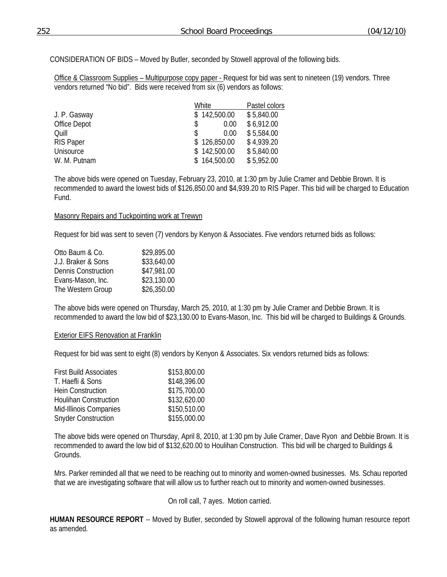CONSIDERATION OF BIDS – Moved by Butler, seconded by Stowell approval of the following bids.

Office & Classroom Supplies – Multipurpose copy paper - Request for bid was sent to nineteen (19) vendors. Three vendors returned "No bid". Bids were received from six (6) vendors as follows:

|                  | White        | Pastel colors |
|------------------|--------------|---------------|
| J. P. Gasway     | \$142,500.00 | \$5,840.00    |
| Office Depot     | 0.00<br>S    | \$6,912.00    |
| Ouill            | 0.00<br>S    | \$5,584.00    |
| <b>RIS Paper</b> | \$126,850.00 | \$4,939.20    |
| Unisource        | \$142,500.00 | \$5,840.00    |
| W. M. Putnam     | \$164,500.00 | \$5,952.00    |

The above bids were opened on Tuesday, February 23, 2010, at 1:30 pm by Julie Cramer and Debbie Brown. It is recommended to award the lowest bids of \$126,850.00 and \$4,939.20 to RIS Paper. This bid will be charged to Education Fund.

### Masonry Repairs and Tuckpointing work at Trewyn

Request for bid was sent to seven (7) vendors by Kenyon & Associates. Five vendors returned bids as follows:

| Otto Baum & Co.            | \$29,895.00 |
|----------------------------|-------------|
| J.J. Braker & Sons         | \$33,640.00 |
| <b>Dennis Construction</b> | \$47,981.00 |
| Evans-Mason, Inc.          | \$23,130.00 |
| The Western Group          | \$26,350.00 |
|                            |             |

The above bids were opened on Thursday, March 25, 2010, at 1:30 pm by Julie Cramer and Debbie Brown. It is recommended to award the low bid of \$23,130.00 to Evans-Mason, Inc. This bid will be charged to Buildings & Grounds.

#### Exterior EIFS Renovation at Franklin

Request for bid was sent to eight (8) vendors by Kenyon & Associates. Six vendors returned bids as follows:

| <b>First Build Associates</b> | \$153,800.00 |
|-------------------------------|--------------|
| T. Haefli & Sons              | \$148,396.00 |
| <b>Hein Construction</b>      | \$175,700.00 |
| <b>Houlihan Construction</b>  | \$132,620.00 |
| Mid-Illinois Companies        | \$150,510.00 |
| <b>Snyder Construction</b>    | \$155,000.00 |

The above bids were opened on Thursday, April 8, 2010, at 1:30 pm by Julie Cramer, Dave Ryon and Debbie Brown. It is recommended to award the low bid of \$132,620.00 to Houlihan Construction. This bid will be charged to Buildings & Grounds.

Mrs. Parker reminded all that we need to be reaching out to minority and women-owned businesses. Ms. Schau reported that we are investigating software that will allow us to further reach out to minority and women-owned businesses.

## On roll call, 7 ayes. Motion carried.

**HUMAN RESOURCE REPORT** -- Moved by Butler, seconded by Stowell approval of the following human resource report as amended.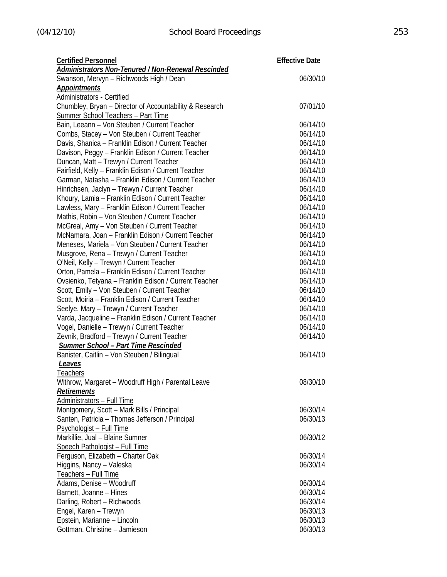| <b>Certified Personnel</b>                                 | <b>Effective Date</b> |  |
|------------------------------------------------------------|-----------------------|--|
| <u> Administrators Non-Tenured / Non-Renewal Rescinded</u> |                       |  |
| Swanson, Mervyn - Richwoods High / Dean                    | 06/30/10              |  |
| <b>Appointments</b>                                        |                       |  |
| Administrators - Certified                                 |                       |  |
| Chumbley, Bryan - Director of Accountability & Research    | 07/01/10              |  |
| <b>Summer School Teachers - Part Time</b>                  |                       |  |
| Bain, Leeann - Von Steuben / Current Teacher               | 06/14/10              |  |
| Combs, Stacey - Von Steuben / Current Teacher              | 06/14/10              |  |
| Davis, Shanica - Franklin Edison / Current Teacher         | 06/14/10              |  |
| Davison, Peggy - Franklin Edison / Current Teacher         | 06/14/10              |  |
| Duncan, Matt - Trewyn / Current Teacher                    | 06/14/10              |  |
| Fairfield, Kelly - Franklin Edison / Current Teacher       | 06/14/10              |  |
| Garman, Natasha - Franklin Edison / Current Teacher        | 06/14/10              |  |
| Hinrichsen, Jaclyn - Trewyn / Current Teacher              | 06/14/10              |  |
| Khoury, Lamia - Franklin Edison / Current Teacher          | 06/14/10              |  |
| Lawless, Mary - Franklin Edison / Current Teacher          | 06/14/10              |  |
| Mathis, Robin - Von Steuben / Current Teacher              | 06/14/10              |  |
| McGreal, Amy - Von Steuben / Current Teacher               | 06/14/10              |  |
| McNamara, Joan - Franklin Edison / Current Teacher         | 06/14/10              |  |
| Meneses, Mariela - Von Steuben / Current Teacher           | 06/14/10              |  |
| Musgrove, Rena - Trewyn / Current Teacher                  | 06/14/10              |  |
| O'Neil, Kelly - Trewyn / Current Teacher                   | 06/14/10              |  |
| Orton, Pamela - Franklin Edison / Current Teacher          | 06/14/10              |  |
| Ovsienko, Tetyana - Franklin Edison / Current Teacher      | 06/14/10              |  |
| Scott, Emily - Von Steuben / Current Teacher               | 06/14/10              |  |
| Scott, Moiria - Franklin Edison / Current Teacher          | 06/14/10              |  |
| Seelye, Mary - Trewyn / Current Teacher                    | 06/14/10              |  |
| Varda, Jacqueline - Franklin Edison / Current Teacher      | 06/14/10              |  |
| Vogel, Danielle - Trewyn / Current Teacher                 | 06/14/10              |  |
| Zevnik, Bradford - Trewyn / Current Teacher                | 06/14/10              |  |
| <b>Summer School - Part Time Rescinded</b>                 |                       |  |
| Banister, Caitlin - Von Steuben / Bilingual                | 06/14/10              |  |
| Leaves                                                     |                       |  |
| Teachers                                                   |                       |  |
| Withrow, Margaret - Woodruff High / Parental Leave         | 08/30/10              |  |
| <u>Retirements</u>                                         |                       |  |
| Administrators - Full Time                                 |                       |  |
| Montgomery, Scott - Mark Bills / Principal                 | 06/30/14              |  |
| Santen, Patricia - Thomas Jefferson / Principal            | 06/30/13              |  |
| Psychologist - Full Time                                   |                       |  |
| Markillie, Jual - Blaine Sumner                            | 06/30/12              |  |
| <b>Speech Pathologist - Full Time</b>                      |                       |  |
| Ferguson, Elizabeth - Charter Oak                          | 06/30/14              |  |
| Higgins, Nancy - Valeska                                   | 06/30/14              |  |
| Teachers - Full Time                                       |                       |  |
| Adams, Denise - Woodruff                                   | 06/30/14              |  |
| Barnett, Joanne - Hines                                    | 06/30/14              |  |
| Darling, Robert - Richwoods                                | 06/30/14              |  |
| Engel, Karen - Trewyn                                      | 06/30/13              |  |
| Epstein, Marianne - Lincoln                                | 06/30/13              |  |
| Gottman, Christine - Jamieson                              | 06/30/13              |  |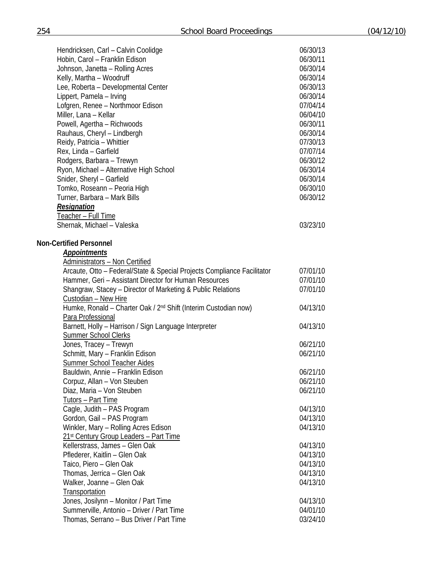| Hendricksen, Carl - Calvin Coolidge                                         | 06/30/13 |
|-----------------------------------------------------------------------------|----------|
| Hobin, Carol - Franklin Edison                                              | 06/30/11 |
| Johnson, Janetta - Rolling Acres                                            | 06/30/14 |
| Kelly, Martha - Woodruff                                                    | 06/30/14 |
| Lee, Roberta - Developmental Center                                         | 06/30/13 |
| Lippert, Pamela - Irving                                                    | 06/30/14 |
| Lofgren, Renee - Northmoor Edison                                           | 07/04/14 |
| Miller, Lana - Kellar                                                       | 06/04/10 |
| Powell, Agertha - Richwoods                                                 | 06/30/11 |
| Rauhaus, Cheryl - Lindbergh                                                 | 06/30/14 |
| Reidy, Patricia - Whittier                                                  | 07/30/13 |
| Rex, Linda - Garfield                                                       | 07/07/14 |
| Rodgers, Barbara - Trewyn                                                   | 06/30/12 |
| Ryon, Michael - Alternative High School                                     | 06/30/14 |
| Snider, Sheryl - Garfield                                                   | 06/30/14 |
| Tomko, Roseann - Peoria High                                                | 06/30/10 |
| Turner, Barbara - Mark Bills                                                | 06/30/12 |
| <b>Resignation</b>                                                          |          |
| Teacher - Full Time                                                         |          |
| Shernak, Michael - Valeska                                                  | 03/23/10 |
|                                                                             |          |
| <b>Non-Certified Personnel</b>                                              |          |
| <b>Appointments</b>                                                         |          |
| <b>Administrators - Non Certified</b>                                       |          |
| Arcaute, Otto - Federal/State & Special Projects Compliance Facilitator     | 07/01/10 |
| Hammer, Geri - Assistant Director for Human Resources                       | 07/01/10 |
| Shangraw, Stacey - Director of Marketing & Public Relations                 | 07/01/10 |
| Custodian - New Hire                                                        |          |
| Humke, Ronald – Charter Oak / 2 <sup>nd</sup> Shift (Interim Custodian now) | 04/13/10 |
| Para Professional                                                           |          |
| Barnett, Holly - Harrison / Sign Language Interpreter                       | 04/13/10 |
| <b>Summer School Clerks</b>                                                 |          |
| Jones, Tracey - Trewyn                                                      | 06/21/10 |
| Schmitt, Mary - Franklin Edison                                             | 06/21/10 |
| <b>Summer School Teacher Aides</b>                                          |          |
| Bauldwin, Annie - Franklin Edison                                           | 06/21/10 |
| Corpuz, Allan - Von Steuben                                                 | 06/21/10 |
| Diaz, Maria - Von Steuben                                                   | 06/21/10 |
| Tutors - Part Time                                                          |          |
| Cagle, Judith - PAS Program                                                 | 04/13/10 |
| Gordon, Gail - PAS Program                                                  | 04/13/10 |
| Winkler, Mary - Rolling Acres Edison                                        | 04/13/10 |
| 21st Century Group Leaders - Part Time                                      |          |
| Kellerstrass, James - Glen Oak                                              | 04/13/10 |
| Pflederer, Kaitlin - Glen Oak                                               | 04/13/10 |
| Taico, Piero - Glen Oak                                                     | 04/13/10 |
| Thomas, Jerrica - Glen Oak                                                  | 04/13/10 |
| Walker, Joanne - Glen Oak                                                   | 04/13/10 |
| Transportation                                                              |          |
| Jones, Josilynn - Monitor / Part Time                                       | 04/13/10 |
| Summerville, Antonio - Driver / Part Time                                   | 04/01/10 |
| Thomas, Serrano - Bus Driver / Part Time                                    | 03/24/10 |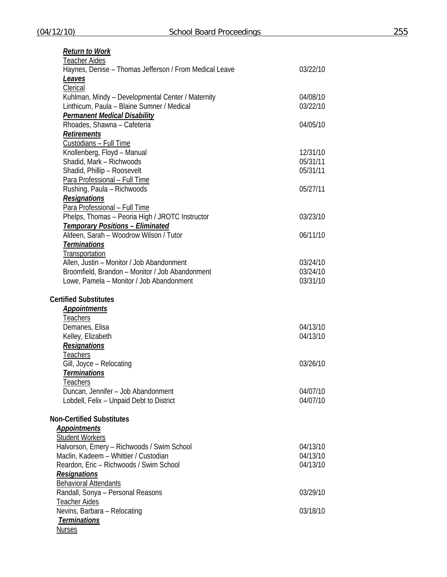| <b>Return to Work</b>                                             |                      |
|-------------------------------------------------------------------|----------------------|
| Teacher Aides                                                     |                      |
| Haynes, Denise - Thomas Jefferson / From Medical Leave            | 03/22/10             |
| Leaves                                                            |                      |
| Clerical                                                          |                      |
| Kuhlman, Mindy - Developmental Center / Maternity                 | 04/08/10             |
| Linthicum, Paula - Blaine Sumner / Medical                        | 03/22/10             |
| <b>Permanent Medical Disability</b>                               |                      |
| Rhoades, Shawna - Cafeteria                                       | 04/05/10             |
| <b>Retirements</b>                                                |                      |
| Custodians - Full Time                                            |                      |
| Knollenberg, Floyd - Manual                                       | 12/31/10             |
| Shadid, Mark - Richwoods                                          | 05/31/11             |
| Shadid, Phillip - Roosevelt                                       | 05/31/11             |
| Para Professional - Full Time                                     |                      |
| Rushing, Paula - Richwoods                                        | 05/27/11             |
| <b>Resignations</b>                                               |                      |
| Para Professional - Full Time                                     |                      |
| Phelps, Thomas - Peoria High / JROTC Instructor                   | 03/23/10             |
| <b>Temporary Positions - Eliminated</b>                           |                      |
| Aldeen, Sarah - Woodrow Wilson / Tutor                            | 06/11/10             |
| <b>Terminations</b>                                               |                      |
| Transportation                                                    |                      |
| Allen, Justin - Monitor / Job Abandonment                         | 03/24/10             |
| Broomfield, Brandon - Monitor / Job Abandonment                   | 03/24/10             |
| Lowe, Pamela - Monitor / Job Abandonment                          | 03/31/10             |
|                                                                   |                      |
|                                                                   |                      |
| <b>Certified Substitutes</b>                                      |                      |
| <b>Appointments</b>                                               |                      |
| <b>Teachers</b>                                                   |                      |
| Demanes, Elisa                                                    | 04/13/10             |
| Kelley, Elizabeth                                                 | 04/13/10             |
| <b>Resignations</b>                                               |                      |
| Teachers                                                          |                      |
| Gill, Joyce - Relocating                                          | 03/26/10             |
| <b>Terminations</b>                                               |                      |
| Teachers                                                          |                      |
| Duncan, Jennifer - Job Abandonment                                | 04/07/10             |
| Lobdell, Felix - Unpaid Debt to District                          | 04/07/10             |
|                                                                   |                      |
| <b>Non-Certified Substitutes</b>                                  |                      |
| <b>Appointments</b>                                               |                      |
| <b>Student Workers</b>                                            |                      |
| Halvorson, Emery - Richwoods / Swim School                        | 04/13/10<br>04/13/10 |
| Maclin, Kadeem - Whittier / Custodian                             | 04/13/10             |
| Reardon, Eric - Richwoods / Swim School                           |                      |
| <b>Resignations</b>                                               |                      |
| <b>Behavioral Attendants</b><br>Randall, Sonya - Personal Reasons | 03/29/10             |
|                                                                   |                      |
| <b>Teacher Aides</b><br>Nevins, Barbara - Relocating              | 03/18/10             |
| <b>Terminations</b>                                               |                      |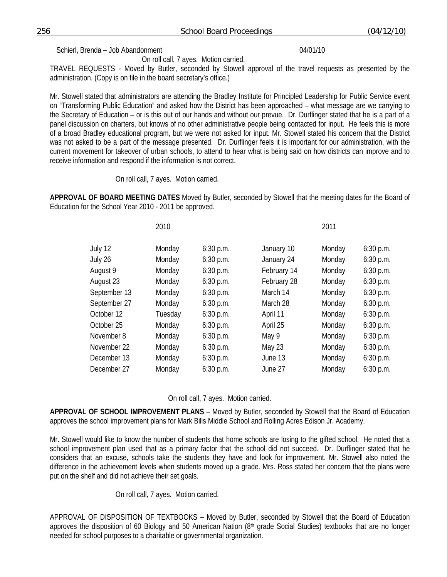Schierl, Brenda – Job Abandonment 04/01/10

On roll call, 7 ayes. Motion carried.

TRAVEL REQUESTS - Moved by Butler, seconded by Stowell approval of the travel requests as presented by the administration. (Copy is on file in the board secretary's office.)

Mr. Stowell stated that administrators are attending the Bradley Institute for Principled Leadership for Public Service event on "Transforming Public Education" and asked how the District has been approached – what message are we carrying to the Secretary of Education – or is this out of our hands and without our prevue. Dr. Durflinger stated that he is a part of a panel discussion on charters, but knows of no other administrative people being contacted for input. He feels this is more of a broad Bradley educational program, but we were not asked for input. Mr. Stowell stated his concern that the District was not asked to be a part of the message presented. Dr. Durflinger feels it is important for our administration, with the current movement for takeover of urban schools, to attend to hear what is being said on how districts can improve and to receive information and respond if the information is not correct.

On roll call, 7 ayes. Motion carried.

**APPROVAL OF BOARD MEETING DATES** Moved by Butler, seconded by Stowell that the meeting dates for the Board of Education for the School Year 2010 - 2011 be approved.

|              | 2010    |             |             | 2011   |             |
|--------------|---------|-------------|-------------|--------|-------------|
| July 12      | Monday  | $6:30$ p.m. | January 10  | Monday | 6:30 p.m.   |
| July 26      | Monday  | 6:30 p.m.   | January 24  | Monday | 6:30 p.m.   |
| August 9     | Monday  | 6:30 p.m.   | February 14 | Monday | 6:30 p.m.   |
| August 23    | Monday  | 6:30 p.m.   | February 28 | Monday | 6:30 p.m.   |
| September 13 | Monday  | $6:30$ p.m. | March 14    | Monday | 6:30 p.m.   |
| September 27 | Monday  | $6:30$ p.m. | March 28    | Monday | 6:30 p.m.   |
| October 12   | Tuesday | $6:30$ p.m. | April 11    | Monday | $6:30$ p.m. |
| October 25   | Monday  | $6:30$ p.m. | April 25    | Monday | 6:30 p.m.   |
| November 8   | Monday  | $6:30$ p.m. | May 9       | Monday | 6:30 p.m.   |
| November 22  | Monday  | $6:30$ p.m. | May 23      | Monday | 6:30 p.m.   |
| December 13  | Monday  | $6:30$ p.m. | June 13     | Monday | 6:30 p.m.   |
| December 27  | Monday  | $6:30$ p.m. | June 27     | Monday | $6:30$ p.m. |
|              |         |             |             |        |             |

On roll call, 7 ayes. Motion carried.

**APPROVAL OF SCHOOL IMPROVEMENT PLANS** – Moved by Butler, seconded by Stowell that the Board of Education approves the school improvement plans for Mark Bills Middle School and Rolling Acres Edison Jr. Academy.

Mr. Stowell would like to know the number of students that home schools are losing to the gifted school. He noted that a school improvement plan used that as a primary factor that the school did not succeed. Dr. Durflinger stated that he considers that an excuse, schools take the students they have and look for improvement. Mr. Stowell also noted the difference in the achievement levels when students moved up a grade. Mrs. Ross stated her concern that the plans were put on the shelf and did not achieve their set goals.

On roll call, 7 ayes. Motion carried.

APPROVAL OF DISPOSITION OF TEXTBOOKS – Moved by Butler, seconded by Stowell that the Board of Education approves the disposition of 60 Biology and 50 American Nation  $(8<sup>th</sup>$  grade Social Studies) textbooks that are no longer needed for school purposes to a charitable or governmental organization.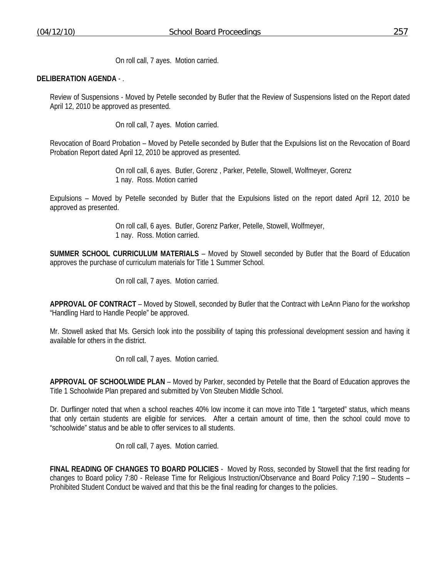On roll call, 7 ayes. Motion carried.

#### **DELIBERATION AGENDA** - .

Review of Suspensions - Moved by Petelle seconded by Butler that the Review of Suspensions listed on the Report dated April 12, 2010 be approved as presented.

On roll call, 7 ayes. Motion carried.

Revocation of Board Probation – Moved by Petelle seconded by Butler that the Expulsions list on the Revocation of Board Probation Report dated April 12, 2010 be approved as presented.

> On roll call, 6 ayes. Butler, Gorenz , Parker, Petelle, Stowell, Wolfmeyer, Gorenz 1 nay. Ross. Motion carried

Expulsions – Moved by Petelle seconded by Butler that the Expulsions listed on the report dated April 12, 2010 be approved as presented.

> On roll call, 6 ayes. Butler, Gorenz Parker, Petelle, Stowell, Wolfmeyer, 1 nay. Ross. Motion carried.

**SUMMER SCHOOL CURRICULUM MATERIALS** – Moved by Stowell seconded by Butler that the Board of Education approves the purchase of curriculum materials for Title 1 Summer School.

On roll call, 7 ayes. Motion carried.

**APPROVAL OF CONTRACT** – Moved by Stowell, seconded by Butler that the Contract with LeAnn Piano for the workshop "Handling Hard to Handle People" be approved.

Mr. Stowell asked that Ms. Gersich look into the possibility of taping this professional development session and having it available for others in the district.

On roll call, 7 ayes. Motion carried.

**APPROVAL OF SCHOOLWIDE PLAN** – Moved by Parker, seconded by Petelle that the Board of Education approves the Title 1 Schoolwide Plan prepared and submitted by Von Steuben Middle School.

Dr. Durflinger noted that when a school reaches 40% low income it can move into Title 1 "targeted" status, which means that only certain students are eligible for services. After a certain amount of time, then the school could move to "schoolwide" status and be able to offer services to all students.

On roll call, 7 ayes. Motion carried.

**FINAL READING OF CHANGES TO BOARD POLICIES** - Moved by Ross, seconded by Stowell that the first reading for changes to Board policy 7:80 - Release Time for Religious Instruction/Observance and Board Policy 7:190 – Students – Prohibited Student Conduct be waived and that this be the final reading for changes to the policies.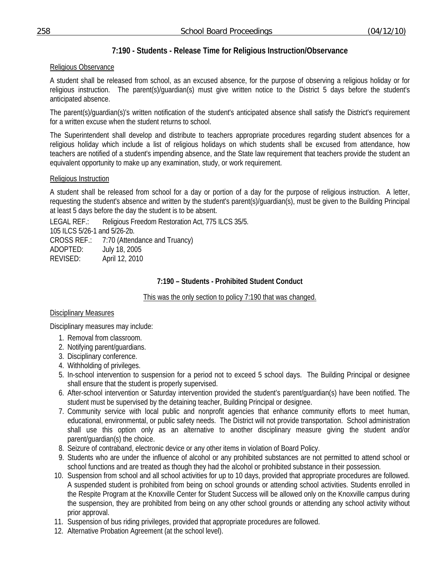# **7:190 - Students - Release Time for Religious Instruction/Observance**

## Religious Observance

A student shall be released from school, as an excused absence, for the purpose of observing a religious holiday or for religious instruction. The parent(s)/guardian(s) must give written notice to the District 5 days before the student's anticipated absence.

The parent(s)/guardian(s)'s written notification of the student's anticipated absence shall satisfy the District's requirement for a written excuse when the student returns to school.

The Superintendent shall develop and distribute to teachers appropriate procedures regarding student absences for a religious holiday which include a list of religious holidays on which students shall be excused from attendance, how teachers are notified of a student's impending absence, and the State law requirement that teachers provide the student an equivalent opportunity to make up any examination, study, or work requirement.

## Religious Instruction

A student shall be released from school for a day or portion of a day for the purpose of religious instruction. A letter, requesting the student's absence and written by the student's parent(s)/guardian(s), must be given to the Building Principal at least 5 days before the day the student is to be absent.

LEGAL REF.: Religious Freedom Restoration Act, 775 ILCS 35/5. 105 ILCS 5/26-1 and 5/26-2b. CROSS REF.: 7:70 (Attendance and Truancy) ADOPTED: July 18, 2005 REVISED: April 12, 2010

## **7:190 – Students - Prohibited Student Conduct**

This was the only section to policy 7:190 that was changed.

## Disciplinary Measures

Disciplinary measures may include:

- 1. Removal from classroom.
- 2. Notifying parent/guardians.
- 3. Disciplinary conference.
- 4. Withholding of privileges.
- 5. In-school intervention to suspension for a period not to exceed 5 school days. The Building Principal or designee shall ensure that the student is properly supervised.
- 6. After-school intervention or Saturday intervention provided the student's parent/guardian(s) have been notified. The student must be supervised by the detaining teacher, Building Principal or designee.
- 7. Community service with local public and nonprofit agencies that enhance community efforts to meet human, educational, environmental, or public safety needs. The District will not provide transportation. School administration shall use this option only as an alternative to another disciplinary measure giving the student and/or parent/guardian(s) the choice.
- 8. Seizure of contraband, electronic device or any other items in violation of Board Policy.
- 9. Students who are under the influence of alcohol or any prohibited substances are not permitted to attend school or school functions and are treated as though they had the alcohol or prohibited substance in their possession*.*
- 10. Suspension from school and all school activities for up to 10 days, provided that appropriate procedures are followed. A suspended student is prohibited from being on school grounds or attending school activities. Students enrolled in the Respite Program at the Knoxville Center for Student Success will be allowed only on the Knoxville campus during the suspension, they are prohibited from being on any other school grounds or attending any school activity without prior approval.
- 11. Suspension of bus riding privileges, provided that appropriate procedures are followed.
- 12. Alternative Probation Agreement (at the school level).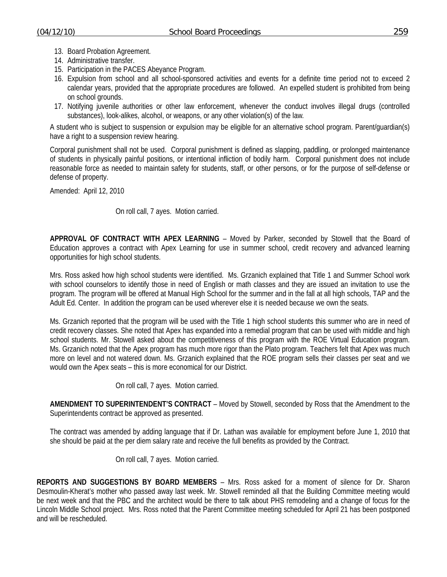- 13. Board Probation Agreement.
- 14. Administrative transfer.
- 15. Participation in the PACES Abeyance Program.
- 16. Expulsion from school and all school-sponsored activities and events for a definite time period not to exceed 2 calendar years, provided that the appropriate procedures are followed. An expelled student is prohibited from being on school grounds.
- 17. Notifying juvenile authorities or other law enforcement, whenever the conduct involves illegal drugs (controlled substances), look-alikes, alcohol, or weapons, or any other violation(s) of the law*.*

A student who is subject to suspension or expulsion may be eligible for an alternative school program. Parent/guardian(s) have a right to a suspension review hearing.

Corporal punishment shall not be used. Corporal punishment is defined as slapping, paddling, or prolonged maintenance of students in physically painful positions, or intentional infliction of bodily harm. Corporal punishment does not include reasonable force as needed to maintain safety for students, staff, or other persons, or for the purpose of self-defense or defense of property.

Amended: April 12, 2010

### On roll call, 7 ayes. Motion carried.

**APPROVAL OF CONTRACT WITH APEX LEARNING** – Moved by Parker, seconded by Stowell that the Board of Education approves a contract with Apex Learning for use in summer school, credit recovery and advanced learning opportunities for high school students.

Mrs. Ross asked how high school students were identified. Ms. Grzanich explained that Title 1 and Summer School work with school counselors to identify those in need of English or math classes and they are issued an invitation to use the program. The program will be offered at Manual High School for the summer and in the fall at all high schools, TAP and the Adult Ed. Center. In addition the program can be used wherever else it is needed because we own the seats.

Ms. Grzanich reported that the program will be used with the Title 1 high school students this summer who are in need of credit recovery classes. She noted that Apex has expanded into a remedial program that can be used with middle and high school students. Mr. Stowell asked about the competitiveness of this program with the ROE Virtual Education program. Ms. Grzanich noted that the Apex program has much more rigor than the Plato program. Teachers felt that Apex was much more on level and not watered down. Ms. Grzanich explained that the ROE program sells their classes per seat and we would own the Apex seats – this is more economical for our District.

On roll call, 7 ayes. Motion carried.

**AMENDMENT TO SUPERINTENDENT'S CONTRACT** – Moved by Stowell, seconded by Ross that the Amendment to the Superintendents contract be approved as presented.

The contract was amended by adding language that if Dr. Lathan was available for employment before June 1, 2010 that she should be paid at the per diem salary rate and receive the full benefits as provided by the Contract.

On roll call, 7 ayes. Motion carried.

**REPORTS AND SUGGESTIONS BY BOARD MEMBERS** – Mrs. Ross asked for a moment of silence for Dr. Sharon Desmoulin-Kherat's mother who passed away last week. Mr. Stowell reminded all that the Building Committee meeting would be next week and that the PBC and the architect would be there to talk about PHS remodeling and a change of focus for the Lincoln Middle School project. Mrs. Ross noted that the Parent Committee meeting scheduled for April 21 has been postponed and will be rescheduled.